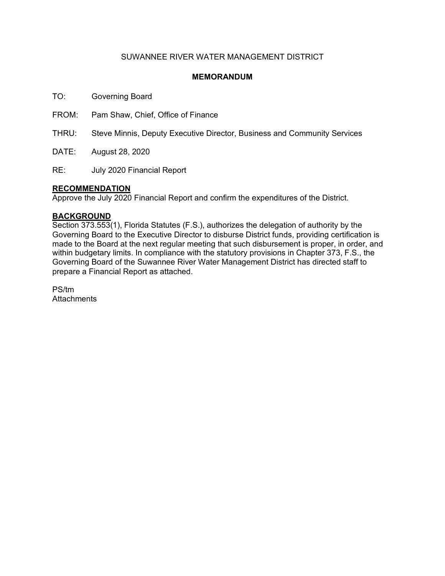### SUWANNEE RIVER WATER MANAGEMENT DISTRICT

### **MEMORANDUM**

TO: Governing Board

FROM: Pam Shaw, Chief, Office of Finance

THRU: Steve Minnis, Deputy Executive Director, Business and Community Services

DATE: August 28, 2020

RE: July 2020 Financial Report

### **RECOMMENDATION**

Approve the July 2020 Financial Report and confirm the expenditures of the District.

### **BACKGROUND**

Section 373.553(1), Florida Statutes (F.S.), authorizes the delegation of authority by the Governing Board to the Executive Director to disburse District funds, providing certification is made to the Board at the next regular meeting that such disbursement is proper, in order, and within budgetary limits. In compliance with the statutory provisions in Chapter 373, F.S., the Governing Board of the Suwannee River Water Management District has directed staff to prepare a Financial Report as attached.

PS/tm **Attachments**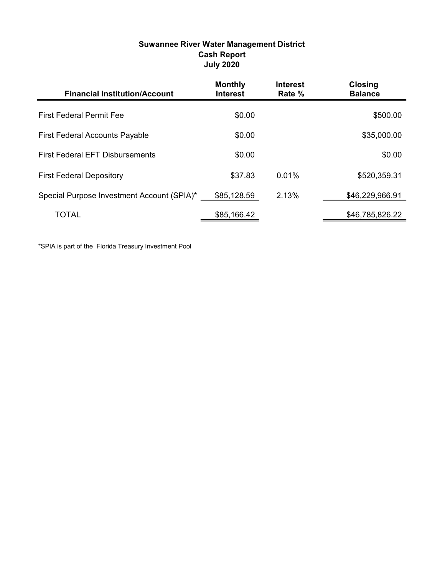### Suwannee River Water Management District Cash Report July 2020

| <b>Financial Institution/Account</b>       | <b>Monthly</b><br><b>Interest</b> | <b>Interest</b><br>Rate % | <b>Closing</b><br><b>Balance</b> |
|--------------------------------------------|-----------------------------------|---------------------------|----------------------------------|
| <b>First Federal Permit Fee</b>            | \$0.00                            |                           | \$500.00                         |
| <b>First Federal Accounts Payable</b>      | \$0.00                            |                           | \$35,000.00                      |
| <b>First Federal EFT Disbursements</b>     | \$0.00                            |                           | \$0.00                           |
| <b>First Federal Depository</b>            | \$37.83                           | 0.01%                     | \$520,359.31                     |
| Special Purpose Investment Account (SPIA)* | \$85,128.59                       | 2.13%                     | \$46,229,966.91                  |
| <b>TOTAL</b>                               | \$85,166.42                       |                           | \$46,785,826.22                  |

\*SPIA is part of the Florida Treasury Investment Pool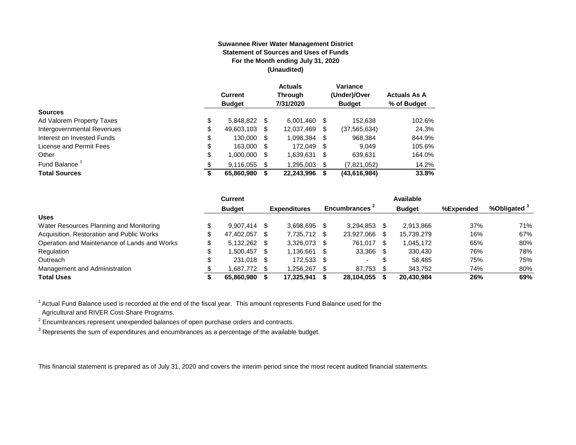#### **Suwannee River Water Management District Statement of Sources and Uses of Funds For the Month ending July 31, 2020 (Unaudited)**

|                                  | <b>Current</b><br><b>Budget</b> |      | <b>Actuals</b><br><b>Through</b><br>7/31/2020 |     | Variance<br>(Under)/Over<br><b>Budget</b> | <b>Actuals As A</b><br>% of Budget |
|----------------------------------|---------------------------------|------|-----------------------------------------------|-----|-------------------------------------------|------------------------------------|
| <b>Sources</b>                   |                                 |      |                                               |     |                                           |                                    |
| \$<br>Ad Valorem Property Taxes  | 5,848,822                       | - \$ | 6,001,460                                     | S   | 152.638                                   | 102.6%                             |
| \$<br>Intergovernmental Revenues | 49,603,103                      | S    | 12.037.469                                    | \$  | (37, 565, 634)                            | 24.3%                              |
| \$<br>Interest on Invested Funds | 130.000                         | - \$ | 1,098,384                                     | \$  | 968,384                                   | 844.9%                             |
| \$<br>License and Permit Fees    | 163,000                         | - \$ | 172.049                                       | -\$ | 9.049                                     | 105.6%                             |
| \$<br>Other                      | 1,000,000                       | S    | 1,639,631                                     | \$  | 639,631                                   | 164.0%                             |
| Fund Balance <sup>1</sup><br>\$  | 9.116.055                       | S    | 1.295.003                                     | \$  | (7,821,052)                               | 14.2%                              |
| <b>Total Sources</b><br>\$       | 65,860,980                      |      | 22,243,996                                    | S   | (43, 616, 984)                            | 33.8%                              |

|                                              |   | <b>Current</b> |     |                     |      |                           | <b>Available</b> |           |                         |
|----------------------------------------------|---|----------------|-----|---------------------|------|---------------------------|------------------|-----------|-------------------------|
|                                              |   | <b>Budget</b>  |     | <b>Expenditures</b> |      | Encumbrances <sup>2</sup> | <b>Budget</b>    | %Expended | %Obligated <sup>3</sup> |
| <b>Uses</b>                                  |   |                |     |                     |      |                           |                  |           |                         |
| Water Resources Planning and Monitoring      |   | $9.907.414$ \$ |     | 3.698.695           |      | 3.294.853                 | 2.913.866        | 37%       | 71%                     |
| Acquisition, Restoration and Public Works    |   | 47.402.057     | -SS | 7.735.712           | - \$ | 23.927.066                | 15.739.279       | 16%       | 67%                     |
| Operation and Maintenance of Lands and Works | S | 5,132,262 \$   |     | 3.326.073           |      | 761.017                   | 1,045,172        | 65%       | 80%                     |
| Regulation                                   |   | 1.500.457 \$   |     | 1.136.661           |      | 33,366                    | 330,430          | 76%       | 78%                     |
| Outreach                                     |   | 231,018 \$     |     | 172,533             |      |                           | 58,485           | 75%       | 75%                     |
| Management and Administration                |   | 1.687.772 \$   |     | 1.256.267           |      | 87,753                    | 343.752          | 74%       | 80%                     |
| <b>Total Uses</b>                            |   | 65.860.980     |     | 17,325,941          |      | 28,104,055                | 20,430,984       | 26%       | 69%                     |

 $1$  Actual Fund Balance used is recorded at the end of the fiscal year. This amount represents Fund Balance used for the

Agricultural and RIVER Cost-Share Programs.

 $2$  Encumbrances represent unexpended balances of open purchase orders and contracts.

 $^3$  Represents the sum of expenditures and encumbrances as a percentage of the available budget.

This financial statement is prepared as of July 31, 2020 and covers the interim period since the most recent audited financial statements.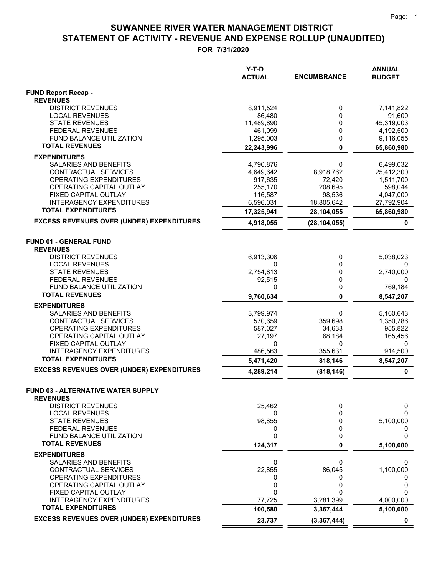|                                                              | $Y-T-D$<br><b>ACTUAL</b> | <b>ENCUMBRANCE</b> | <b>ANNUAL</b><br><b>BUDGET</b> |
|--------------------------------------------------------------|--------------------------|--------------------|--------------------------------|
| <b>FUND Report Recap -</b>                                   |                          |                    |                                |
| <b>REVENUES</b>                                              |                          |                    |                                |
| <b>DISTRICT REVENUES</b>                                     | 8,911,524                | 0<br>0             | 7,141,822                      |
| <b>LOCAL REVENUES</b><br><b>STATE REVENUES</b>               | 86,480<br>11,489,890     | 0                  | 91,600<br>45,319,003           |
| <b>FEDERAL REVENUES</b>                                      | 461,099                  | 0                  | 4,192,500                      |
| <b>FUND BALANCE UTILIZATION</b>                              | 1,295,003                | 0                  | 9,116,055                      |
| <b>TOTAL REVENUES</b>                                        | 22,243,996               | $\mathbf 0$        | 65,860,980                     |
| <b>EXPENDITURES</b>                                          |                          |                    |                                |
| SALARIES AND BENEFITS                                        | 4,790,876                | 0                  | 6,499,032                      |
| CONTRACTUAL SERVICES                                         | 4,649,642                | 8,918,762          | 25,412,300                     |
| OPERATING EXPENDITURES                                       | 917,635                  | 72,420             | 1,511,700                      |
| OPERATING CAPITAL OUTLAY                                     | 255,170                  | 208,695            | 598,044                        |
| FIXED CAPITAL OUTLAY                                         | 116,587                  | 98,536             | 4,047,000                      |
| <b>INTERAGENCY EXPENDITURES</b><br><b>TOTAL EXPENDITURES</b> | 6,596,031                | 18,805,642         | 27,792,904                     |
|                                                              | 17,325,941               | 28,104,055         | 65,860,980                     |
| <b>EXCESS REVENUES OVER (UNDER) EXPENDITURES</b>             | 4,918,055                | (28, 104, 055)     | 0                              |
| <b>FUND 01 - GENERAL FUND</b>                                |                          |                    |                                |
| <b>REVENUES</b>                                              |                          |                    |                                |
| <b>DISTRICT REVENUES</b>                                     | 6,913,306                | 0                  | 5,038,023                      |
| <b>LOCAL REVENUES</b>                                        | 0                        | 0                  |                                |
| <b>STATE REVENUES</b>                                        | 2,754,813                | 0                  | 2,740,000                      |
| <b>FEDERAL REVENUES</b>                                      | 92,515                   | 0                  | 0                              |
| FUND BALANCE UTILIZATION<br><b>TOTAL REVENUES</b>            | 0                        | 0                  | 769,184                        |
|                                                              | 9,760,634                | 0                  | 8,547,207                      |
| <b>EXPENDITURES</b>                                          |                          |                    |                                |
| SALARIES AND BENEFITS<br>CONTRACTUAL SERVICES                | 3,799,974<br>570,659     | 0<br>359,698       | 5,160,643<br>1,350,786         |
| OPERATING EXPENDITURES                                       | 587,027                  | 34,633             | 955,822                        |
| OPERATING CAPITAL OUTLAY                                     | 27,197                   | 68,184             | 165,456                        |
| FIXED CAPITAL OUTLAY                                         | 0                        | 0                  | 0                              |
| <b>INTERAGENCY EXPENDITURES</b>                              | 486,563                  | 355,631            | 914,500                        |
| <b>TOTAL EXPENDITURES</b>                                    | 5,471,420                | 818,146            | 8,547,207                      |
| <b>EXCESS REVENUES OVER (UNDER) EXPENDITURES</b>             | 4,289,214                | (818, 146)         | 0                              |
| <b>FUND 03 - ALTERNATIVE WATER SUPPLY</b>                    |                          |                    |                                |
| <b>REVENUES</b>                                              |                          |                    |                                |
| <b>DISTRICT REVENUES</b>                                     | 25,462                   | 0                  | 0                              |
| <b>LOCAL REVENUES</b>                                        | 0                        | 0                  | 0                              |
| <b>STATE REVENUES</b>                                        | 98,855                   | 0                  | 5,100,000                      |
| <b>FEDERAL REVENUES</b>                                      | 0                        | 0                  | 0                              |
| FUND BALANCE UTILIZATION<br><b>TOTAL REVENUES</b>            | 0                        | 0                  | 0                              |
|                                                              | 124,317                  | 0                  | 5,100,000                      |
| <b>EXPENDITURES</b><br>SALARIES AND BENEFITS                 | 0                        | 0                  | 0                              |
| CONTRACTUAL SERVICES                                         | 22,855                   | 86,045             | 1,100,000                      |
| OPERATING EXPENDITURES                                       | 0                        | 0                  | 0                              |
| OPERATING CAPITAL OUTLAY                                     | 0                        | 0                  | 0                              |
| FIXED CAPITAL OUTLAY                                         | 0                        | 0                  | ი                              |
| <b>INTERAGENCY EXPENDITURES</b>                              | 77,725                   | 3,281,399          | 4,000,000                      |
| <b>TOTAL EXPENDITURES</b>                                    | 100,580                  | 3,367,444          | 5,100,000                      |
| <b>EXCESS REVENUES OVER (UNDER) EXPENDITURES</b>             | 23,737                   | (3, 367, 444)      | 0                              |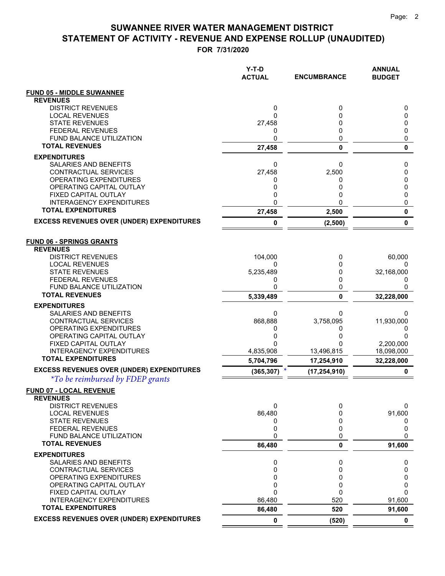|                                                                                             | Y-T-D<br><b>ACTUAL</b> | <b>ENCUMBRANCE</b> | <b>ANNUAL</b><br><b>BUDGET</b> |
|---------------------------------------------------------------------------------------------|------------------------|--------------------|--------------------------------|
| <b>FUND 05 - MIDDLE SUWANNEE</b>                                                            |                        |                    |                                |
| <b>REVENUES</b>                                                                             |                        |                    |                                |
| <b>DISTRICT REVENUES</b><br><b>LOCAL REVENUES</b>                                           | 0<br>0                 | 0<br>0             | 0<br>0                         |
| <b>STATE REVENUES</b>                                                                       | 27,458                 | 0                  | 0                              |
| <b>FEDERAL REVENUES</b>                                                                     | 0                      | 0                  | 0                              |
| <b>FUND BALANCE UTILIZATION</b>                                                             | 0                      | 0                  | 0                              |
| <b>TOTAL REVENUES</b>                                                                       | 27,458                 | $\mathbf{0}$       | 0                              |
| <b>EXPENDITURES</b>                                                                         |                        |                    |                                |
| <b>SALARIES AND BENEFITS</b>                                                                | 0                      | 0                  | 0                              |
| CONTRACTUAL SERVICES<br>OPERATING EXPENDITURES                                              | 27,458<br>0            | 2,500<br>0         | 0<br>0                         |
| OPERATING CAPITAL OUTLAY                                                                    | 0                      | 0                  | 0                              |
| FIXED CAPITAL OUTLAY                                                                        | 0                      | 0                  | 0                              |
| <b>INTERAGENCY EXPENDITURES</b>                                                             | 0                      | 0                  | 0                              |
| <b>TOTAL EXPENDITURES</b>                                                                   | 27,458                 | 2,500              | 0                              |
| <b>EXCESS REVENUES OVER (UNDER) EXPENDITURES</b>                                            | 0                      | (2,500)            | 0                              |
| <b>FUND 06 - SPRINGS GRANTS</b>                                                             |                        |                    |                                |
| <b>REVENUES</b>                                                                             |                        |                    |                                |
| <b>DISTRICT REVENUES</b>                                                                    | 104,000                | 0                  | 60,000                         |
| <b>LOCAL REVENUES</b><br><b>STATE REVENUES</b>                                              | 0<br>5,235,489         | 0<br>0             | 0<br>32,168,000                |
| <b>FEDERAL REVENUES</b>                                                                     | 0                      | 0                  | 0                              |
| <b>FUND BALANCE UTILIZATION</b>                                                             | 0                      | 0                  | 0                              |
| <b>TOTAL REVENUES</b>                                                                       | 5,339,489              | 0                  | 32,228,000                     |
| <b>EXPENDITURES</b>                                                                         |                        |                    |                                |
| SALARIES AND BENEFITS                                                                       | 0                      | 0                  | 0                              |
| CONTRACTUAL SERVICES<br>OPERATING EXPENDITURES                                              | 868,888<br>0           | 3,758,095<br>0     | 11,930,000<br>0                |
| OPERATING CAPITAL OUTLAY                                                                    | 0                      |                    | 0                              |
| FIXED CAPITAL OUTLAY                                                                        | 0                      | ი                  | 2,200,000                      |
| <b>INTERAGENCY EXPENDITURES</b>                                                             | 4,835,908              | 13,496,815         | 18,098,000                     |
| <b>TOTAL EXPENDITURES</b>                                                                   | 5,704,796              | 17,254,910         | 32,228,000                     |
| <b>EXCESS REVENUES OVER (UNDER) EXPENDITURES</b><br><i>*To be reimbursed by FDEP grants</i> | (365, 307)             | (17,254,910)       | 0                              |
| FUND 07 - LOCAL REVENUE                                                                     |                        |                    |                                |
| <b>REVENUES</b>                                                                             |                        |                    |                                |
| <b>DISTRICT REVENUES</b><br><b>LOCAL REVENUES</b>                                           | 0<br>86,480            | 0<br>0             | 0<br>91,600                    |
| <b>STATE REVENUES</b>                                                                       | 0                      | 0                  | 0                              |
| <b>FEDERAL REVENUES</b>                                                                     | 0                      | 0                  | 0                              |
| FUND BALANCE UTILIZATION                                                                    | 0                      | 0                  | 0                              |
| <b>TOTAL REVENUES</b>                                                                       | 86,480                 | 0                  | 91,600                         |
| <b>EXPENDITURES</b><br>SALARIES AND BENEFITS                                                | 0                      | 0                  | 0                              |
| <b>CONTRACTUAL SERVICES</b>                                                                 | 0                      | 0                  | 0                              |
| <b>OPERATING EXPENDITURES</b>                                                               | 0                      | 0                  | 0                              |
| OPERATING CAPITAL OUTLAY                                                                    | 0                      | 0                  | 0                              |
| FIXED CAPITAL OUTLAY                                                                        | 0                      | 0                  | 0                              |
| <b>INTERAGENCY EXPENDITURES</b><br><b>TOTAL EXPENDITURES</b>                                | 86,480<br>86,480       | 520<br>520         | 91,600<br>91,600               |
| <b>EXCESS REVENUES OVER (UNDER) EXPENDITURES</b>                                            | $\mathbf 0$            | (520)              | $\mathbf 0$                    |
|                                                                                             |                        |                    |                                |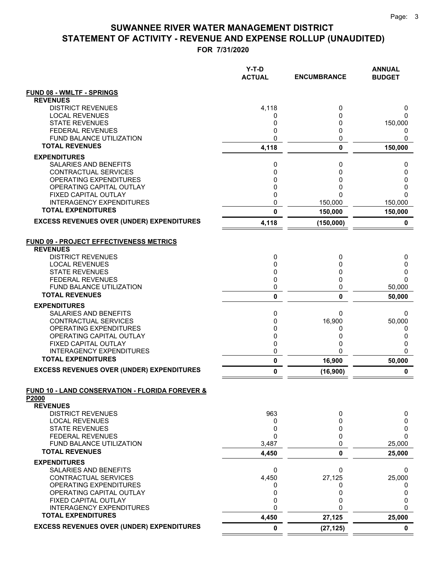|                                                                   | $Y-T-D$<br><b>ACTUAL</b> | <b>ENCUMBRANCE</b> | <b>ANNUAL</b><br><b>BUDGET</b> |
|-------------------------------------------------------------------|--------------------------|--------------------|--------------------------------|
| <b>FUND 08 - WMLTF - SPRINGS</b>                                  |                          |                    |                                |
| <b>REVENUES</b>                                                   |                          |                    |                                |
| <b>DISTRICT REVENUES</b>                                          | 4,118                    | 0                  | 0                              |
| <b>LOCAL REVENUES</b><br><b>STATE REVENUES</b>                    | 0<br>0                   | 0<br>0             | 0<br>150,000                   |
| <b>FEDERAL REVENUES</b>                                           | 0                        | 0                  | 0                              |
| <b>FUND BALANCE UTILIZATION</b>                                   | 0                        | 0                  | 0                              |
| <b>TOTAL REVENUES</b>                                             | 4,118                    | 0                  | 150,000                        |
| <b>EXPENDITURES</b>                                               |                          |                    |                                |
| SALARIES AND BENEFITS                                             | 0                        | 0                  | 0                              |
| CONTRACTUAL SERVICES                                              | 0                        | 0                  | 0                              |
| OPERATING EXPENDITURES                                            | 0                        | 0                  | 0                              |
| OPERATING CAPITAL OUTLAY<br>FIXED CAPITAL OUTLAY                  | 0<br>0                   | 0<br>0             | 0<br>0                         |
| <b>INTERAGENCY EXPENDITURES</b>                                   | 0                        | 150,000            | 150,000                        |
| <b>TOTAL EXPENDITURES</b>                                         | $\mathbf{0}$             | 150,000            | 150,000                        |
| <b>EXCESS REVENUES OVER (UNDER) EXPENDITURES</b>                  | 4,118                    | (150,000)          | 0                              |
| <b>FUND 09 - PROJECT EFFECTIVENESS METRICS</b><br><b>REVENUES</b> |                          |                    |                                |
| <b>DISTRICT REVENUES</b>                                          | 0                        | 0                  | 0                              |
| <b>LOCAL REVENUES</b>                                             | 0                        | 0                  | 0                              |
| <b>STATE REVENUES</b><br><b>FEDERAL REVENUES</b>                  | 0<br>0                   | 0<br>0             | 0<br>$\Omega$                  |
| FUND BALANCE UTILIZATION                                          | 0                        | 0                  | 50,000                         |
| <b>TOTAL REVENUES</b>                                             | $\pmb{0}$                | 0                  | 50,000                         |
| <b>EXPENDITURES</b>                                               |                          |                    |                                |
| SALARIES AND BENEFITS                                             | 0                        | 0                  | 0                              |
| CONTRACTUAL SERVICES                                              | 0                        | 16,900             | 50,000                         |
| OPERATING EXPENDITURES<br>OPERATING CAPITAL OUTLAY                | 0<br>0                   | 0<br>0             | 0<br>0                         |
| FIXED CAPITAL OUTLAY                                              | 0                        | 0                  | 0                              |
| <b>INTERAGENCY EXPENDITURES</b>                                   | 0                        | 0                  | 0                              |
| <b>TOTAL EXPENDITURES</b>                                         | $\pmb{0}$                | 16,900             | 50,000                         |
| <b>EXCESS REVENUES OVER (UNDER) EXPENDITURES</b>                  | 0                        | (16,900)           | 0                              |
| <b>FUND 10 - LAND CONSERVATION - FLORIDA FOREVER &amp;</b>        |                          |                    |                                |
| P2000<br><b>REVENUES</b>                                          |                          |                    |                                |
| <b>DISTRICT REVENUES</b>                                          | 963                      | 0                  | 0                              |
| <b>LOCAL REVENUES</b>                                             | 0                        | 0                  | 0                              |
| <b>STATE REVENUES</b>                                             | 0                        | 0                  | 0                              |
| <b>FEDERAL REVENUES</b>                                           | $\Omega$                 | 0                  | 0                              |
| FUND BALANCE UTILIZATION                                          | 3,487                    | $\Omega$           | 25,000                         |
| <b>TOTAL REVENUES</b>                                             | 4,450                    | 0                  | 25,000                         |
| <b>EXPENDITURES</b>                                               |                          |                    |                                |
| SALARIES AND BENEFITS                                             | 0                        | 0                  | 0                              |
| CONTRACTUAL SERVICES<br>OPERATING EXPENDITURES                    | 4,450<br>0               | 27,125<br>0        | 25,000<br>0                    |
| OPERATING CAPITAL OUTLAY                                          | 0                        | 0                  | 0                              |
| FIXED CAPITAL OUTLAY                                              | 0                        | 0                  | 0                              |
| <b>INTERAGENCY EXPENDITURES</b>                                   | 0                        | 0                  | $\mathbf{0}$                   |
| <b>TOTAL EXPENDITURES</b>                                         | 4,450                    | 27,125             | 25,000                         |
| <b>EXCESS REVENUES OVER (UNDER) EXPENDITURES</b>                  | $\mathbf 0$              | (27, 125)          | $\mathbf 0$                    |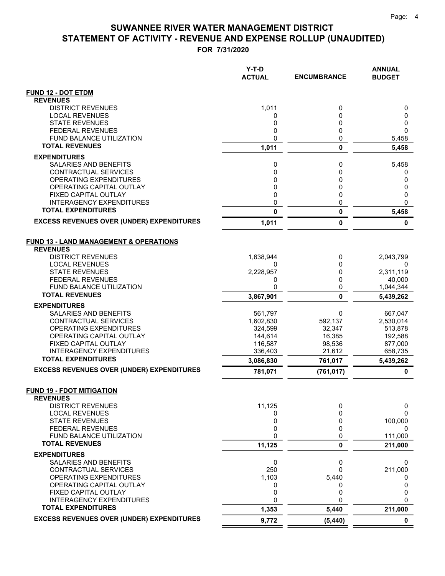|                                                              | Y-T-D<br><b>ACTUAL</b> | <b>ENCUMBRANCE</b> | <b>ANNUAL</b><br><b>BUDGET</b> |
|--------------------------------------------------------------|------------------------|--------------------|--------------------------------|
| <b>FUND 12 - DOT ETDM</b>                                    |                        |                    |                                |
| <b>REVENUES</b>                                              |                        |                    |                                |
| <b>DISTRICT REVENUES</b>                                     | 1,011                  | 0                  | 0                              |
| <b>LOCAL REVENUES</b><br><b>STATE REVENUES</b>               | 0<br>0                 | $\mathbf{0}$<br>0  | 0<br>0                         |
| <b>FEDERAL REVENUES</b>                                      | 0                      | 0                  | 0                              |
| <b>FUND BALANCE UTILIZATION</b>                              | 0                      | 0                  | 5,458                          |
| <b>TOTAL REVENUES</b>                                        | 1,011                  | $\mathbf 0$        | 5,458                          |
| <b>EXPENDITURES</b>                                          |                        |                    |                                |
| SALARIES AND BENEFITS                                        | 0                      | 0                  | 5,458                          |
| CONTRACTUAL SERVICES                                         | 0                      | 0                  | 0                              |
| OPERATING EXPENDITURES<br>OPERATING CAPITAL OUTLAY           | 0<br>0                 | 0<br>0             | 0                              |
| FIXED CAPITAL OUTLAY                                         | 0                      | 0                  | 0<br>0                         |
| <b>INTERAGENCY EXPENDITURES</b>                              | 0                      | 0                  | 0                              |
| <b>TOTAL EXPENDITURES</b>                                    | 0                      | 0                  | 5,458                          |
| <b>EXCESS REVENUES OVER (UNDER) EXPENDITURES</b>             | 1,011                  | 0                  | 0                              |
| <b>FUND 13 - LAND MANAGEMENT &amp; OPERATIONS</b>            |                        |                    |                                |
| <b>REVENUES</b><br><b>DISTRICT REVENUES</b>                  | 1,638,944              |                    | 2,043,799                      |
| <b>LOCAL REVENUES</b>                                        | 0                      | 0<br>0             | 0                              |
| <b>STATE REVENUES</b>                                        | 2,228,957              | 0                  | 2,311,119                      |
| <b>FEDERAL REVENUES</b>                                      | 0                      | 0                  | 40,000                         |
| FUND BALANCE UTILIZATION                                     | 0                      | 0                  | 1,044,344                      |
| <b>TOTAL REVENUES</b>                                        | 3,867,901              | $\mathbf{0}$       | 5,439,262                      |
| <b>EXPENDITURES</b>                                          |                        |                    |                                |
| SALARIES AND BENEFITS                                        | 561,797                | 0                  | 667,047                        |
| CONTRACTUAL SERVICES<br>OPERATING EXPENDITURES               | 1,602,830<br>324,599   | 592,137<br>32,347  | 2,530,014<br>513,878           |
| OPERATING CAPITAL OUTLAY                                     | 144,614                | 16,385             | 192,588                        |
| FIXED CAPITAL OUTLAY                                         | 116,587                | 98,536             | 877,000                        |
| <b>INTERAGENCY EXPENDITURES</b>                              | 336,403                | 21,612             | 658,735                        |
| <b>TOTAL EXPENDITURES</b>                                    | 3,086,830              | 761,017            | 5,439,262                      |
| <b>EXCESS REVENUES OVER (UNDER) EXPENDITURES</b>             | 781,071                | (761, 017)         | $\mathbf 0$                    |
| <b>FUND 19 - FDOT MITIGATION</b><br><b>REVENUES</b>          |                        |                    |                                |
| <b>DISTRICT REVENUES</b>                                     | 11,125                 | 0                  | 0                              |
| <b>LOCAL REVENUES</b>                                        | 0                      | 0                  | 0                              |
| <b>STATE REVENUES</b>                                        | 0                      | $\Omega$           | 100,000                        |
| <b>FEDERAL REVENUES</b>                                      | 0                      | 0                  | 0                              |
| FUND BALANCE UTILIZATION<br><b>TOTAL REVENUES</b>            | 0                      | 0                  | 111,000                        |
|                                                              | 11,125                 | 0                  | 211,000                        |
| <b>EXPENDITURES</b><br>SALARIES AND BENEFITS                 | 0                      | 0                  | 0                              |
| <b>CONTRACTUAL SERVICES</b>                                  | 250                    | 0                  | 211,000                        |
| OPERATING EXPENDITURES                                       | 1,103                  | 5,440              | 0                              |
| OPERATING CAPITAL OUTLAY                                     | 0                      | 0                  | 0                              |
| FIXED CAPITAL OUTLAY                                         | 0                      | 0                  | 0                              |
| <b>INTERAGENCY EXPENDITURES</b><br><b>TOTAL EXPENDITURES</b> | 0<br>1,353             | $\Omega$<br>5,440  | $\Omega$<br>211,000            |
| <b>EXCESS REVENUES OVER (UNDER) EXPENDITURES</b>             | 9,772                  | (5, 440)           | $\mathbf 0$                    |
|                                                              |                        |                    |                                |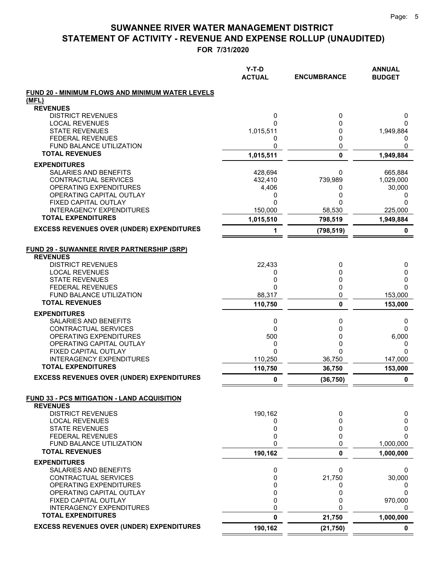|                                                   | $Y-T-D$<br><b>ACTUAL</b> | <b>ENCUMBRANCE</b> | <b>ANNUAL</b><br><b>BUDGET</b> |
|---------------------------------------------------|--------------------------|--------------------|--------------------------------|
| FUND 20 - MINIMUM FLOWS AND MINIMUM WATER LEVELS  |                          |                    |                                |
| (MFL)                                             |                          |                    |                                |
| <b>REVENUES</b><br><b>DISTRICT REVENUES</b>       | 0                        | 0                  | 0                              |
| <b>LOCAL REVENUES</b>                             | 0                        | 0                  | 0                              |
| <b>STATE REVENUES</b>                             | 1,015,511                | 0                  | 1,949,884                      |
| <b>FEDERAL REVENUES</b>                           | 0                        | 0                  | 0                              |
| FUND BALANCE UTILIZATION                          | 0                        | 0                  | 0                              |
| <b>TOTAL REVENUES</b>                             | 1,015,511                | $\mathbf 0$        | 1,949,884                      |
| <b>EXPENDITURES</b>                               |                          |                    |                                |
| SALARIES AND BENEFITS<br>CONTRACTUAL SERVICES     | 428,694                  | 0<br>739,989       | 665,884<br>1,029,000           |
| OPERATING EXPENDITURES                            | 432,410<br>4,406         | 0                  | 30,000                         |
| OPERATING CAPITAL OUTLAY                          | 0                        | 0                  | 0                              |
| FIXED CAPITAL OUTLAY                              | 0                        | ი                  | 0                              |
| <b>INTERAGENCY EXPENDITURES</b>                   | 150,000                  | 58,530             | 225,000                        |
| <b>TOTAL EXPENDITURES</b>                         | 1,015,510                | 798,519            | 1,949,884                      |
| <b>EXCESS REVENUES OVER (UNDER) EXPENDITURES</b>  | 1                        | (798, 519)         | 0                              |
| <b>FUND 29 - SUWANNEE RIVER PARTNERSHIP (SRP)</b> |                          |                    |                                |
| <b>REVENUES</b>                                   |                          |                    |                                |
| <b>DISTRICT REVENUES</b>                          | 22,433                   | 0                  | 0                              |
| <b>LOCAL REVENUES</b>                             | 0                        | 0                  | 0                              |
| <b>STATE REVENUES</b><br><b>FEDERAL REVENUES</b>  | 0<br>0                   | 0<br>0             | 0<br>$\Omega$                  |
| <b>FUND BALANCE UTILIZATION</b>                   | 88,317                   | 0                  | 153,000                        |
| <b>TOTAL REVENUES</b>                             | 110,750                  | 0                  | 153,000                        |
| <b>EXPENDITURES</b>                               |                          |                    |                                |
| SALARIES AND BENEFITS                             | 0                        | 0                  | 0                              |
| CONTRACTUAL SERVICES                              | 0                        | 0                  | $\mathbf{0}$                   |
| OPERATING EXPENDITURES                            | 500                      | 0                  | 6,000                          |
| OPERATING CAPITAL OUTLAY<br>FIXED CAPITAL OUTLAY  | 0<br>0                   | 0<br>0             | 0<br>$\mathbf{0}$              |
| <b>INTERAGENCY EXPENDITURES</b>                   | 110,250                  | 36,750             | 147,000                        |
| <b>TOTAL EXPENDITURES</b>                         | 110,750                  | 36,750             | 153,000                        |
| <b>EXCESS REVENUES OVER (UNDER) EXPENDITURES</b>  | 0                        | (36, 750)          | 0                              |
| FUND 33 - PCS MITIGATION - LAND ACQUISITION       |                          |                    |                                |
| <b>REVENUES</b>                                   |                          |                    |                                |
| <b>DISTRICT REVENUES</b>                          | 190,162                  | 0                  | 0                              |
| <b>LOCAL REVENUES</b><br><b>STATE REVENUES</b>    | 0<br>0                   | 0<br>0             | 0<br>0                         |
| <b>FEDERAL REVENUES</b>                           | 0                        | 0                  | $\Omega$                       |
| FUND BALANCE UTILIZATION                          | 0                        | 0                  | 1,000,000                      |
| <b>TOTAL REVENUES</b>                             | 190,162                  | 0                  | 1,000,000                      |
| <b>EXPENDITURES</b>                               |                          |                    |                                |
| SALARIES AND BENEFITS                             | 0                        | 0                  | 0                              |
| CONTRACTUAL SERVICES                              | 0                        | 21,750             | 30,000                         |
| OPERATING EXPENDITURES                            | 0                        | 0                  | U                              |
| OPERATING CAPITAL OUTLAY<br>FIXED CAPITAL OUTLAY  | 0<br>0                   | 0<br>0             | 0<br>970,000                   |
| <b>INTERAGENCY EXPENDITURES</b>                   | 0                        | 0                  | 0                              |
| <b>TOTAL EXPENDITURES</b>                         | 0                        | 21,750             | 1,000,000                      |
| <b>EXCESS REVENUES OVER (UNDER) EXPENDITURES</b>  | 190,162                  | (21, 750)          | 0                              |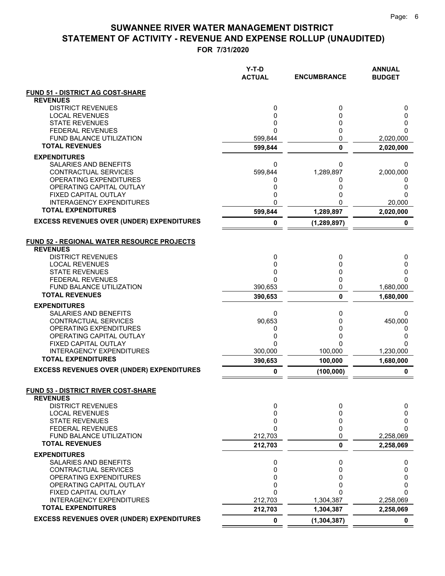|                                                       | Y-T-D<br><b>ACTUAL</b> | <b>ENCUMBRANCE</b> | <b>ANNUAL</b><br><b>BUDGET</b> |
|-------------------------------------------------------|------------------------|--------------------|--------------------------------|
| <b>FUND 51 - DISTRICT AG COST-SHARE</b>               |                        |                    |                                |
| <b>REVENUES</b>                                       |                        |                    |                                |
| <b>DISTRICT REVENUES</b><br><b>LOCAL REVENUES</b>     | 0<br>0                 | 0<br>0             | 0<br>0                         |
| <b>STATE REVENUES</b>                                 | 0                      | 0                  | 0                              |
| <b>FEDERAL REVENUES</b>                               | 0                      | 0                  | 0                              |
| <b>FUND BALANCE UTILIZATION</b>                       | 599,844                | 0                  | 2,020,000                      |
| <b>TOTAL REVENUES</b>                                 | 599,844                | $\bf{0}$           | 2,020,000                      |
| <b>EXPENDITURES</b>                                   |                        |                    |                                |
| SALARIES AND BENEFITS                                 | 0                      | 0                  | 0                              |
| CONTRACTUAL SERVICES<br><b>OPERATING EXPENDITURES</b> | 599,844<br>0           | 1,289,897<br>0     | 2,000,000<br>0                 |
| OPERATING CAPITAL OUTLAY                              | 0                      | 0                  | 0                              |
| FIXED CAPITAL OUTLAY                                  | 0                      | 0                  | 0                              |
| <b>INTERAGENCY EXPENDITURES</b>                       | 0                      | 0                  | 20,000                         |
| <b>TOTAL EXPENDITURES</b>                             | 599,844                | 1,289,897          | 2,020,000                      |
| <b>EXCESS REVENUES OVER (UNDER) EXPENDITURES</b>      | 0                      | (1, 289, 897)      | 0                              |
| FUND 52 - REGIONAL WATER RESOURCE PROJECTS            |                        |                    |                                |
| <b>REVENUES</b>                                       |                        |                    |                                |
| <b>DISTRICT REVENUES</b><br><b>LOCAL REVENUES</b>     | 0<br>0                 | 0<br>0             | 0<br>0                         |
| <b>STATE REVENUES</b>                                 | 0                      | 0                  | 0                              |
| <b>FEDERAL REVENUES</b>                               | 0                      | 0                  | 0                              |
| FUND BALANCE UTILIZATION                              | 390,653                | 0                  | 1,680,000                      |
| <b>TOTAL REVENUES</b>                                 | 390,653                | $\mathbf 0$        | 1,680,000                      |
| <b>EXPENDITURES</b>                                   |                        |                    |                                |
| SALARIES AND BENEFITS<br>CONTRACTUAL SERVICES         | 0<br>90,653            | 0<br>0             | 0                              |
| OPERATING EXPENDITURES                                | 0                      | 0                  | 450,000<br>0                   |
| OPERATING CAPITAL OUTLAY                              | 0                      | 0                  | 0                              |
| FIXED CAPITAL OUTLAY                                  | 0                      | 0                  | 0                              |
| <b>INTERAGENCY EXPENDITURES</b>                       | 300,000                | 100,000            | 1,230,000                      |
| <b>TOTAL EXPENDITURES</b>                             | 390,653                | 100,000            | 1,680,000                      |
| <b>EXCESS REVENUES OVER (UNDER) EXPENDITURES</b>      | 0                      | (100, 000)         | 0                              |
| <b>FUND 53 - DISTRICT RIVER COST-SHARE</b>            |                        |                    |                                |
| <b>REVENUES</b>                                       |                        |                    |                                |
| <b>DISTRICT REVENUES</b><br><b>LOCAL REVENUES</b>     | 0<br>0                 | 0<br>0             | 0<br>0                         |
| <b>STATE REVENUES</b>                                 | 0                      | 0                  | 0                              |
| <b>FEDERAL REVENUES</b>                               | 0                      | 0                  | 0                              |
| FUND BALANCE UTILIZATION                              | 212,703                | 0                  | 2,258,069                      |
| <b>TOTAL REVENUES</b>                                 | 212,703                | 0                  | 2,258,069                      |
| <b>EXPENDITURES</b>                                   |                        |                    |                                |
| SALARIES AND BENEFITS                                 | 0                      | 0                  | 0                              |
| <b>CONTRACTUAL SERVICES</b><br>OPERATING EXPENDITURES | 0<br>0                 | 0<br>0             | 0<br>0                         |
| OPERATING CAPITAL OUTLAY                              | 0                      | 0                  | 0                              |
| FIXED CAPITAL OUTLAY                                  | 0                      | ი                  | 0                              |
| <b>INTERAGENCY EXPENDITURES</b>                       | 212,703                | 1,304,387          | 2,258,069                      |
| <b>TOTAL EXPENDITURES</b>                             | 212,703                | 1,304,387          | 2,258,069                      |
| <b>EXCESS REVENUES OVER (UNDER) EXPENDITURES</b>      | 0                      | (1, 304, 387)      | 0                              |